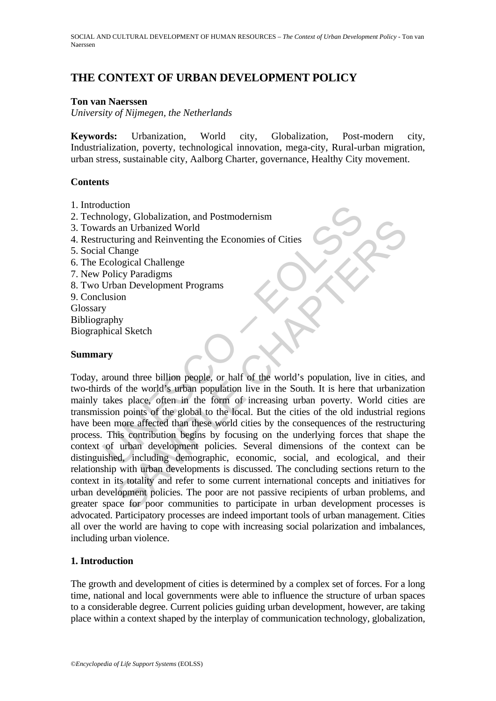# **THE CONTEXT OF URBAN DEVELOPMENT POLICY**

#### **Ton van Naerssen**

*University of Nijmegen, the Netherlands* 

**Keywords:** Urbanization, World city, Globalization, Post-modern city, Industrialization, poverty, technological innovation, mega-city, Rural-urban migration, urban stress, sustainable city, Aalborg Charter, governance, Healthy City movement.

### **Contents**

- 1. Introduction
- 2. Technology, Globalization, and Postmodernism
- 3. Towards an Urbanized World
- 4. Restructuring and Reinventing the Economies of Cities
- 5. Social Change
- 6. The Ecological Challenge
- 7. New Policy Paradigms
- 8. Two Urban Development Programs
- 9. Conclusion Glossary
- Bibliography
- Biographical Sketch

### **Summary**

duction<br>
mology, Globalization, and Postmodernism<br>
urds an Urbanized World<br>
ucturing and Reinventing the Economies of Cities<br>
L'Change<br>
Ecological Challenge<br>
Policy Paradigms<br>
Usion<br>
Usion<br>
Usion<br>
Usion<br>
Usion<br>
Usion<br>
poli Solution and the billion people, or half of the world's population, ive in cities,<br>hange<br>logical Challenge<br>licy Paradigms<br>is an Development Programs<br>(io) and there billion people, or half of the world's population, live in Today, around three billion people, or half of the world's population, live in cities, and two-thirds of the world's urban population live in the South. It is here that urbanization mainly takes place, often in the form of increasing urban poverty. World cities are transmission points of the global to the local. But the cities of the old industrial regions have been more affected than these world cities by the consequences of the restructuring process. This contribution begins by focusing on the underlying forces that shape the context of urban development policies. Several dimensions of the context can be distinguished, including demographic, economic, social, and ecological, and their relationship with urban developments is discussed. The concluding sections return to the context in its totality and refer to some current international concepts and initiatives for urban development policies. The poor are not passive recipients of urban problems, and greater space for poor communities to participate in urban development processes is advocated. Participatory processes are indeed important tools of urban management. Cities all over the world are having to cope with increasing social polarization and imbalances, including urban violence.

# **1. Introduction**

The growth and development of cities is determined by a complex set of forces. For a long time, national and local governments were able to influence the structure of urban spaces to a considerable degree. Current policies guiding urban development, however, are taking place within a context shaped by the interplay of communication technology, globalization,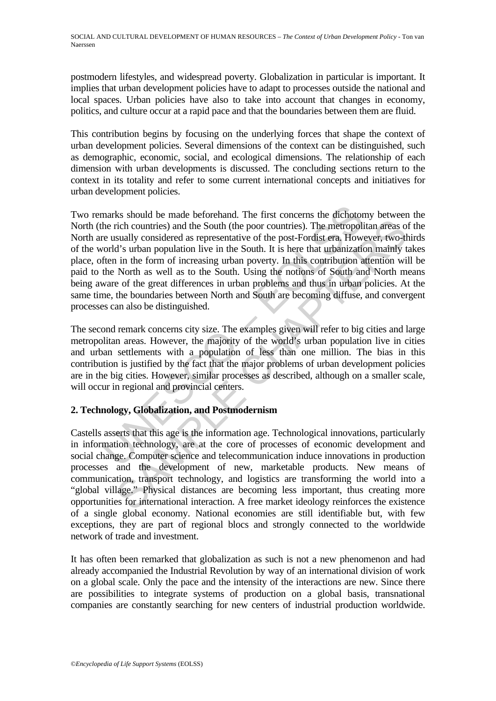postmodern lifestyles, and widespread poverty. Globalization in particular is important. It implies that urban development policies have to adapt to processes outside the national and local spaces. Urban policies have also to take into account that changes in economy, politics, and culture occur at a rapid pace and that the boundaries between them are fluid.

This contribution begins by focusing on the underlying forces that shape the context of urban development policies. Several dimensions of the context can be distinguished, such as demographic, economic, social, and ecological dimensions. The relationship of each dimension with urban developments is discussed. The concluding sections return to the context in its totality and refer to some current international concepts and initiatives for urban development policies.

marks should be made beforehand. The first concerns the dichotor<br>he rich countries) and the South (the poor countries). The metropolic<br>re usually considered as representative of the post-Fordist era. Howeverld's urban popu rich countries) and the South (the poor countries). The metropolitan areas osually considered as representative of the post-Fordist era. However, two-d's is urban population live in the South. It is here that urbanization Two remarks should be made beforehand. The first concerns the dichotomy between the North (the rich countries) and the South (the poor countries). The metropolitan areas of the North are usually considered as representative of the post-Fordist era. However, two-thirds of the world's urban population live in the South. It is here that urbanization mainly takes place, often in the form of increasing urban poverty. In this contribution attention will be paid to the North as well as to the South. Using the notions of South and North means being aware of the great differences in urban problems and thus in urban policies. At the same time, the boundaries between North and South are becoming diffuse, and convergent processes can also be distinguished.

The second remark concerns city size. The examples given will refer to big cities and large metropolitan areas. However, the majority of the world's urban population live in cities and urban settlements with a population of less than one million. The bias in this contribution is justified by the fact that the major problems of urban development policies are in the big cities. However, similar processes as described, although on a smaller scale, will occur in regional and provincial centers.

# **2. Technology, Globalization, and Postmodernism**

Castells asserts that this age is the information age. Technological innovations, particularly in information technology, are at the core of processes of economic development and social change. Computer science and telecommunication induce innovations in production processes and the development of new, marketable products. New means of communication, transport technology, and logistics are transforming the world into a "global village." Physical distances are becoming less important, thus creating more opportunities for international interaction. A free market ideology reinforces the existence of a single global economy. National economies are still identifiable but, with few exceptions, they are part of regional blocs and strongly connected to the worldwide network of trade and investment.

It has often been remarked that globalization as such is not a new phenomenon and had already accompanied the Industrial Revolution by way of an international division of work on a global scale. Only the pace and the intensity of the interactions are new. Since there are possibilities to integrate systems of production on a global basis, transnational companies are constantly searching for new centers of industrial production worldwide.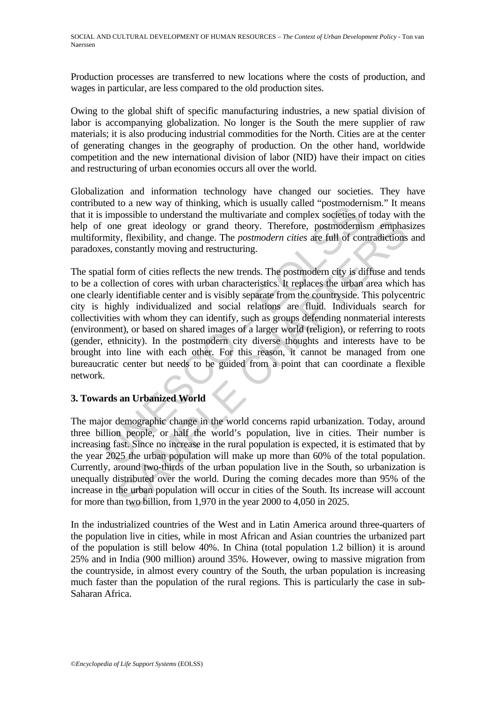Production processes are transferred to new locations where the costs of production, and wages in particular, are less compared to the old production sites.

Owing to the global shift of specific manufacturing industries, a new spatial division of labor is accompanying globalization. No longer is the South the mere supplier of raw materials; it is also producing industrial commodities for the North. Cities are at the center of generating changes in the geography of production. On the other hand, worldwide competition and the new international division of labor (NID) have their impact on cities and restructuring of urban economies occurs all over the world.

Globalization and information technology have changed our societies. They have contributed to a new way of thinking, which is usually called "postmodernism." It means that it is impossible to understand the multivariate and complex societies of today with the help of one great ideology or grand theory. Therefore, postmodernism emphasizes multiformity, flexibility, and change. The *postmodern cities* are full of contradictions and paradoxes, constantly moving and restructuring.

the way of unifining, which is stating differed to a new way of unifining, which is impossible to understand the multivariate and complex societies of one great ideology or grand theory. Therefore, postmodernismity, flexib is great ideology or grand theory. Therefore, postmodernism emphasis, y, flexibility, and change. The *postmodern cities* are full of contradictions constantly moving and restructuring.<br>
form of cities reflects the new tr The spatial form of cities reflects the new trends. The postmodern city is diffuse and tends to be a collection of cores with urban characteristics. It replaces the urban area which has one clearly identifiable center and is visibly separate from the countryside. This polycentric city is highly individualized and social relations are fluid. Individuals search for collectivities with whom they can identify, such as groups defending nonmaterial interests (environment), or based on shared images of a larger world (religion), or referring to roots (gender, ethnicity). In the postmodern city diverse thoughts and interests have to be brought into line with each other. For this reason, it cannot be managed from one bureaucratic center but needs to be guided from a point that can coordinate a flexible network.

# **3. Towards an Urbanized World**

The major demographic change in the world concerns rapid urbanization. Today, around three billion people, or half the world's population, live in cities. Their number is increasing fast. Since no increase in the rural population is expected, it is estimated that by the year 2025 the urban population will make up more than 60% of the total population. Currently, around two-thirds of the urban population live in the South, so urbanization is unequally distributed over the world. During the coming decades more than 95% of the increase in the urban population will occur in cities of the South. Its increase will account for more than two billion, from 1,970 in the year 2000 to 4,050 in 2025.

In the industrialized countries of the West and in Latin America around three-quarters of the population live in cities, while in most African and Asian countries the urbanized part of the population is still below 40%. In China (total population 1.2 billion) it is around 25% and in India (900 million) around 35%. However, owing to massive migration from the countryside, in almost every country of the South, the urban population is increasing much faster than the population of the rural regions. This is particularly the case in sub-Saharan Africa.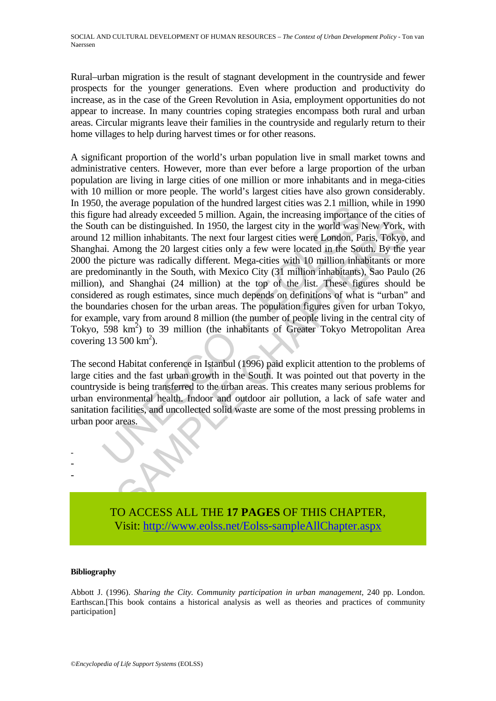Rural–urban migration is the result of stagnant development in the countryside and fewer prospects for the younger generations. Even where production and productivity do increase, as in the case of the Green Revolution in Asia, employment opportunities do not appear to increase. In many countries coping strategies encompass both rural and urban areas. Circular migrants leave their families in the countryside and regularly return to their home villages to help during harvest times or for other reasons.

the average population of the intunct angest clues was 2.1 minion<br>the can be the matter and already exceeded 5 million. Again, the increasing importance<br>the can be distinguished. In 1950, the largest city in the world was an be distinguished. In 1950, the largest city in the world was New York,<br>million inhabitants. The next four largest city in the world was New York,<br>million inhabitants. The next four largest cities were London, Paris, To A significant proportion of the world's urban population live in small market towns and administrative centers. However, more than ever before a large proportion of the urban population are living in large cities of one million or more inhabitants and in mega-cities with 10 million or more people. The world's largest cities have also grown considerably. In 1950, the average population of the hundred largest cities was 2.1 million, while in 1990 this figure had already exceeded 5 million. Again, the increasing importance of the cities of the South can be distinguished. In 1950, the largest city in the world was New York, with around 12 million inhabitants. The next four largest cities were London, Paris, Tokyo, and Shanghai. Among the 20 largest cities only a few were located in the South. By the year 2000 the picture was radically different. Mega-cities with 10 million inhabitants or more are predominantly in the South, with Mexico City (31 million inhabitants), Sao Paulo (26 million), and Shanghai (24 million) at the top of the list. These figures should be considered as rough estimates, since much depends on definitions of what is "urban" and the boundaries chosen for the urban areas. The population figures given for urban Tokyo, for example, vary from around 8 million (the number of people living in the central city of Tokyo,  $598 \text{ km}^2$ ) to 39 million (the inhabitants of Greater Tokyo Metropolitan Area covering  $13\,500\,\mathrm{km}^2$ ).

The second Habitat conference in Istanbul (1996) paid explicit attention to the problems of large cities and the fast urban growth in the South. It was pointed out that poverty in the countryside is being transferred to the urban areas. This creates many serious problems for urban environmental health. Indoor and outdoor air pollution, a lack of safe water and sanitation facilities, and uncollected solid waste are some of the most pressing problems in urban poor areas.



#### **Bibliography**

- - -

Abbott J. (1996). *Sharing the City. Community participation in urban management*, 240 pp. London. Earthscan.[This book contains a historical analysis as well as theories and practices of community participation]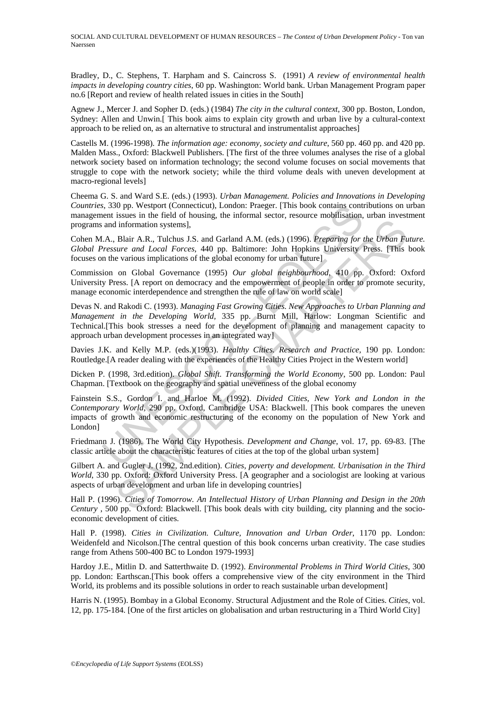SOCIAL AND CULTURAL DEVELOPMENT OF HUMAN RESOURCES – *The Context of Urban Development Policy* - Ton van Naerssen

Bradley, D., C. Stephens, T. Harpham and S. Caincross S. (1991) *A review of environmental health impacts in developing country cities*, 60 pp. Washington: World bank. Urban Management Program paper no.6 [Report and review of health related issues in cities in the South]

Agnew J., Mercer J. and Sopher D. (eds.) (1984) *The city in the cultural context*, 300 pp. Boston, London, Sydney: Allen and Unwin.[ This book aims to explain city growth and urban live by a cultural-context approach to be relied on, as an alternative to structural and instrumentalist approaches]

Castells M. (1996-1998). *The information age: economy, society and culture*, 560 pp. 460 pp. and 420 pp. Malden Mass., Oxford: Blackwell Publishers. [The first of the three volumes analyses the rise of a global network society based on information technology; the second volume focuses on social movements that struggle to cope with the network society; while the third volume deals with uneven development at macro-regional levels]

Cheema G. S. and Ward S.E. (eds.) (1993). *Urban Management. Policies and Innovations in Developing Countries*, 330 pp. Westport (Connecticut), London: Praeger. [This book contains contributions on urban management issues in the field of housing, the informal sector, resource mobilisation, urban investment programs and information systems],

Cohen M.A., Blair A.R., Tulchus J.S. and Garland A.M. (eds.) (1996). *Preparing for the Urban Future. Global Pressure and Local Forces*, 440 pp. Baltimore: John Hopkins University Press. [This book focuses on the various implications of the global economy for urban future]

Commission on Global Governance (1995) *Our global neighbourhood*, 410 pp. Oxford: Oxford University Press. [A report on democracy and the empowerment of people in order to promote security, manage economic interdependence and strengthen the rule of law on world scale]

(s. 330 pp. Westport (Connecticut), London: Praeger. [This book contains continued in the field of housing, the informal sector, resource mobilisation, and information systems],<br>and information systems],<br>(A., Blair A.R., T I alternation systems],<br>
Blair A.R., Tulchus J.S. and Garland A.M. (eds.) (1996). *Preparing for the Urban Fulgoir and Local Forces,* 440 pp. Baltimore: John Hopkins University Press. [This two end Local Forces, 440 pp. O Devas N. and Rakodi C. (1993). *Managing Fast Growing Cities. New Approaches to Urban Planning and Management in the Developing World,* 335 pp. Burnt Mill, Harlow: Longman Scientific and Technical.[This book stresses a need for the development of planning and management capacity to approach urban development processes in an integrated way]

Davies J.K. and Kelly M.P. (eds.)(1993). *Healthy Cities. Research and Practice,* 190 pp. London: Routledge.[A reader dealing with the experiences of the Healthy Cities Project in the Western world]

Dicken P. (1998, 3rd.edition). *Global Shift. Transforming the World Economy*, 500 pp. London: Paul Chapman. [Textbook on the geography and spatial unevenness of the global economy

Fainstein S.S., Gordon I. and Harloe M. (1992). *Divided Cities, New York and London in the Contemporary World,* 290 pp. Oxford, Cambridge USA: Blackwell. [This book compares the uneven impacts of growth and economic restructuring of the economy on the population of New York and London]

Friedmann J. (1986). The World City Hypothesis. *Development and Change*, vol. 17, pp. 69-83. [The classic article about the characteristic features of cities at the top of the global urban system]

Gilbert A. and Gugler J. (1992, 2nd.edition). *Cities, poverty and development. Urbanisation in the Third World*, 330 pp. Oxford: Oxford University Press. [A geographer and a sociologist are looking at various aspects of urban development and urban life in developing countries]

Hall P. (1996). *Cities of Tomorrow. An Intellectual History of Urban Planning and Design in the 20th Century* , 500 pp. Oxford: Blackwell. [This book deals with city building, city planning and the socioeconomic development of cities.

Hall P. (1998). *Cities in Civilization. Culture, Innovation and Urban Order*, 1170 pp. London: Weidenfeld and Nicolson.[The central question of this book concerns urban creativity. The case studies range from Athens 500-400 BC to London 1979-1993]

Hardoy J.E., Mitlin D. and Satterthwaite D. (1992). *Environmental Problems in Third World Cities*, 300 pp. London: Earthscan.[This book offers a comprehensive view of the city environment in the Third World, its problems and its possible solutions in order to reach sustainable urban development]

Harris N. (1995). Bombay in a Global Economy. Structural Adjustment and the Role of Cities. *Cities*, vol. 12, pp. 175-184. [One of the first articles on globalisation and urban restructuring in a Third World City]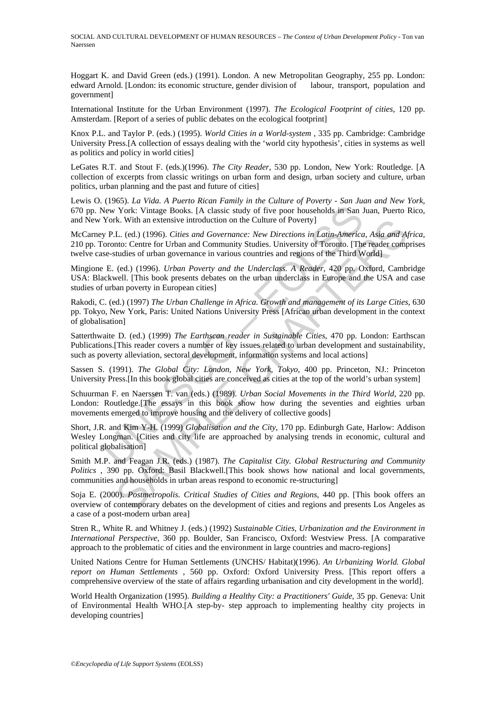SOCIAL AND CULTURAL DEVELOPMENT OF HUMAN RESOURCES – *The Context of Urban Development Policy* - Ton van Naerssen

Hoggart K. and David Green (eds.) (1991). London. A new Metropolitan Geography, 255 pp. London: edward Arnold. [London: its economic structure, gender division of labour, transport, population and government]

International Institute for the Urban Environment (1997). *The Ecological Footprint of cities*, 120 pp. Amsterdam. [Report of a series of public debates on the ecological footprint]

Knox P.L. and Taylor P. (eds.) (1995). *World Cities in a World-system* , 335 pp. Cambridge: Cambridge University Press.[A collection of essays dealing with the 'world city hypothesis', cities in systems as well as politics and policy in world cities]

LeGates R.T. and Stout F. (eds.)(1996). *The City Reader*, 530 pp. London, New York: Routledge. [A collection of excerpts from classic writings on urban form and design, urban society and culture, urban politics, urban planning and the past and future of cities]

Lewis O. (1965). *La Vida. A Puerto Rican Family in the Culture of Poverty - San Juan and New York*, 670 pp. New York: Vintage Books. [A classic study of five poor households in San Juan, Puerto Rico, and New York. With an extensive introduction on the Culture of Poverty]

McCarney P.L. (ed.) (1996). *Cities and Governance: New Directions in Latin-America, Asia and Africa*, 210 pp. Toronto: Centre for Urban and Community Studies. University of Toronto. [The reader comprises twelve case-studies of urban governance in various countries and regions of the Third World]

Mingione E. (ed.) (1996). *Urban Poverty and the Underclass. A Reader*, 420 pp. Oxford, Cambridge USA: Blackwell. [This book presents debates on the urban underclass in Europe and the USA and case studies of urban poverty in European cities]

New York: Vintage Books. [A classic study of five poor households in San JYork. Wintage Books. [A classic study of five poor households in San JYork. With an extensive introduction on the Culture of Poverty]  $y$  P.L. (ed. k. With an extensive introduction on the Culture of Poverty]<br>L. (ed.) (1996). Cities and Governance: New Directions in Latin-America, Asia and A<sub>M</sub><br>to: Center for Urban and Community Studies. University of Toronto. [The r Rakodi, C. (ed.) (1997) *The Urban Challenge in Africa. Growth and management of its Large Cities*, 630 pp. Tokyo, New York, Paris: United Nations University Press [African urban development in the context of globalisation]

Satterthwaite D. (ed.) (1999) *The Earthscan reader in Sustainable Cities*, 470 pp. London: Earthscan Publications.[This reader covers a number of key issues related to urban development and sustainability, such as poverty alleviation, sectoral development, information systems and local actions]

Sassen S. (1991). *The Global City: London, New York, Tokyo*, 400 pp. Princeton, NJ.: Princeton University Press.[In this book global cities are conceived as cities at the top of the world's urban system]

Schuurman F. en Naerssen T. van (eds.) (1989). *Urban Social Movements in the Third World*, 220 pp. London: Routledge.[The essays in this book show how during the seventies and eighties urban movements emerged to improve housing and the delivery of collective goods]

Short, J.R. and Kim Y-H. (1999) *Globalisation and the City*, 170 pp. Edinburgh Gate, Harlow: Addison Wesley Longman. [Cities and city life are approached by analysing trends in economic, cultural and political globalisation]

Smith M.P. and Feagan J.R. (eds.) (1987). *The Capitalist City. Global Restructuring and Community Politics* , 390 pp. Oxford: Basil Blackwell.[This book shows how national and local governments, communities and households in urban areas respond to economic re-structuring]

Soja E. (2000). *Postmetropolis. Critical Studies of Cities and Regions*, 440 pp. [This book offers an overview of contemporary debates on the development of cities and regions and presents Los Angeles as a case of a post-modern urban area]

Stren R., White R. and Whitney J. (eds.) (1992) *Sustainable Cities, Urbanization and the Environment in International Perspective*, 360 pp. Boulder, San Francisco, Oxford: Westview Press. [A comparative approach to the problematic of cities and the environment in large countries and macro-regions]

United Nations Centre for Human Settlements (UNCHS/ Habitat)(1996). *An Urbanizing World. Global report on Human Settlements* , 560 pp. Oxford: Oxford University Press. [This report offers a comprehensive overview of the state of affairs regarding urbanisation and city development in the world].

World Health Organization (1995). *Building a Healthy City: a Practitioners' Guide*, 35 pp. Geneva: Unit of Environmental Health WHO.[A step-by- step approach to implementing healthy city projects in developing countries]